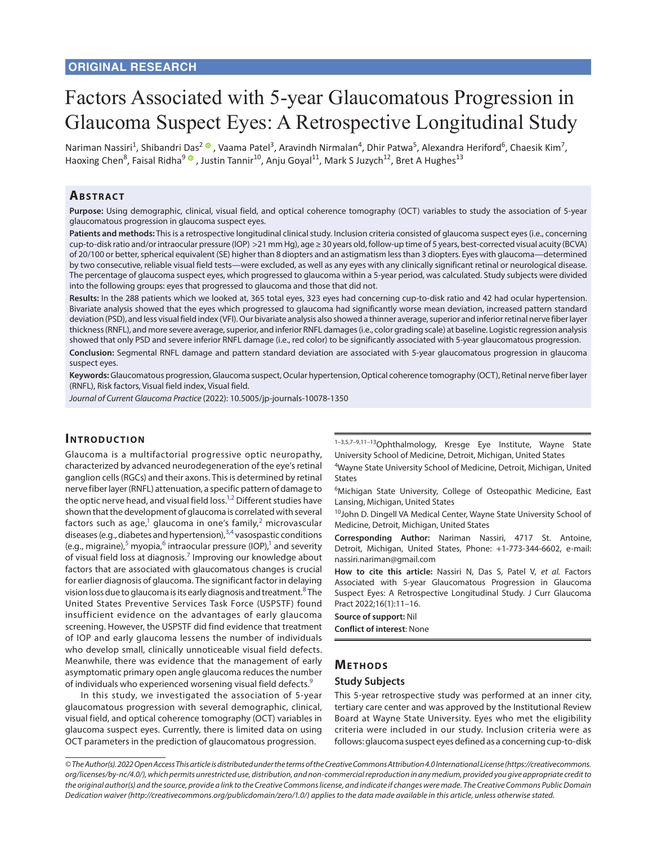# Factors Associated with 5-year Glaucomatous Progression in Glaucoma Suspect Eyes: A Retrospective Longitudinal Study

Nariman Nassiri<sup>1</sup>, Shibandri Das<sup>2</sup> ®, Vaama Patel<sup>3</sup>, Aravindh Nirmalan<sup>4</sup>, Dhir Patwa<sup>5</sup>, Alexandra Heriford<sup>6</sup>, Chaesik Kim<sup>7</sup>, Haoxing Chen<sup>8</sup>, Faisal Ridha<sup>9 ®</sup> [,](https://orcid.org/0000-0002-3983-2854) Justin Tannir<sup>10</sup>, Anju Goyal<sup>11</sup>, Mark S Juzych<sup>12</sup>, Bret A Hughes<sup>13</sup>

## **ABSTRACT**

**Purpose:** Using demographic, clinical, visual field, and optical coherence tomography (OCT) variables to study the association of 5-year glaucomatous progression in glaucoma suspect eyes.

**Patients and methods:** This is a retrospective longitudinal clinical study. Inclusion criteria consisted of glaucoma suspect eyes (i.e., concerning cup-to-disk ratio and/or intraocular pressure (IOP) >21 mm Hg), age ≥ 30 years old, follow-up time of 5 years, best-corrected visual acuity (BCVA) of 20/100 or better, spherical equivalent (SE) higher than 8 diopters and an astigmatism less than 3 diopters. Eyes with glaucoma—determined by two consecutive, reliable visual field tests—were excluded, as well as any eyes with any clinically significant retinal or neurological disease. The percentage of glaucoma suspect eyes, which progressed to glaucoma within a 5-year period, was calculated. Study subjects were divided into the following groups: eyes that progressed to glaucoma and those that did not.

**Results:** In the 288 patients which we looked at, 365 total eyes, 323 eyes had concerning cup-to-disk ratio and 42 had ocular hypertension. Bivariate analysis showed that the eyes which progressed to glaucoma had significantly worse mean deviation, increased pattern standard deviation (PSD), and less visual field index (VFI). Our bivariate analysis also showed a thinner average, superior and inferior retinal nerve fiber layer thickness (RNFL), and more severe average, superior, and inferior RNFL damages (i.e., color grading scale) at baseline. Logistic regression analysis showed that only PSD and severe inferior RNFL damage (i.e., red color) to be significantly associated with 5-year glaucomatous progression.

**Conclusion:** Segmental RNFL damage and pattern standard deviation are associated with 5-year glaucomatous progression in glaucoma suspect eyes.

**Keywords:** Glaucomatous progression, Glaucoma suspect, Ocular hypertension, Optical coherence tomography (OCT), Retinal nerve fiber layer (RNFL), Risk factors, Visual field index, Visual field.

*Journal of Current Glaucoma Practice* (2022): 10.5005/jp-journals-10078-1350

## **Introduc tion**

<span id="page-0-4"></span>Glaucoma is a multifactorial progressive optic neuropathy, characterized by advanced neurodegeneration of the eye's retinal ganglion cells (RGCs) and their axons. This is determined by retinal nerve fiber layer (RNFL) attenuation, a specific pattern of damage to the optic nerve head, and visual field loss.<sup>1[,2](#page-4-1)</sup> Different studies have shown that the development of glaucoma is correlated with several factors such as age,<sup>[1](#page-4-0)</sup> glaucoma in one's family,<sup>[2](#page-4-1)</sup> microvascular diseases (e.g., diabetes and hypertension),<sup>[3](#page-4-2),[4](#page-4-3)</sup> vasospastic conditions (e.g., migraine),<sup>[5](#page-4-4)</sup> myopia,<sup>[6](#page-4-5)</sup> intraocular pressure (IOP),<sup>1</sup> and severity of visual field loss at diagnosis.<sup>7</sup> Improving our knowledge about factors that are associated with glaucomatous changes is crucial for earlier diagnosis of glaucoma. The significant factor in delaying vision loss due to glaucoma is its early diagnosis and treatment.<sup>[8](#page-4-7)</sup> The United States Preventive Services Task Force (USPSTF) found insufficient evidence on the advantages of early glaucoma screening. However, the USPSTF did find evidence that treatment of IOP and early glaucoma lessens the number of individuals who develop small, clinically unnoticeable visual field defects. Meanwhile, there was evidence that the management of early asymptomatic primary open angle glaucoma reduces the number of individuals who experienced worsening visual field defects.<sup>[9](#page-4-8)</sup>

In this study, we investigated the association of 5-year glaucomatous progression with several demographic, clinical, visual field, and optical coherence tomography (OCT) variables in glaucoma suspect eyes. Currently, there is limited data on using OCT parameters in the prediction of glaucomatous progression.

1–3,5,7–9,11–13Ophthalmology, Kresge Eye Institute, Wayne State University School of Medicine, Detroit, Michigan, United States

4 Wayne State University School of Medicine, Detroit, Michigan, United States

<span id="page-0-1"></span><span id="page-0-0"></span>6 Michigan State University, College of Osteopathic Medicine, East Lansing, Michigan, United States

<sup>10</sup>John D. Dingell VA Medical Center, Wayne State University School of Medicine, Detroit, Michigan, United States

<span id="page-0-5"></span><span id="page-0-3"></span><span id="page-0-2"></span>**Corresponding Author:** Nariman Nassiri, 4717 St. Antoine, Detroit, Michigan, United States, Phone: +1-773-344-6602, e-mail: nassiri.nariman@gmail.com

<span id="page-0-7"></span><span id="page-0-6"></span>**How to cite this article:** Nassiri N, Das S, Patel V, *et al.* Factors Associated with 5-year Glaucomatous Progression in Glaucoma Suspect Eyes: A Retrospective Longitudinal Study. J Curr Glaucoma Pract 2022;16(1):11–16.

**Source of support:** Nil

**Conflict of interest**: None

## **METHODS**

#### <span id="page-0-8"></span>**Study Subjects**

This 5-year retrospective study was performed at an inner city, tertiary care center and was approved by the Institutional Review Board at Wayne State University. Eyes who met the eligibility criteria were included in our study. Inclusion criteria were as follows: glaucoma suspect eyes defined as a concerning cup-to-disk

*<sup>©</sup> The Author(s). 2022 Open Access This article is distributed under the terms of the Creative Commons Attribution 4.0 International License (https://creativecommons. org/licenses/by-nc/4.0/), which permits unrestricted use, distribution, and non-commercial reproduction in any medium, provided you give appropriate credit to the original author(s) and the source, provide a link to the Creative Commons license, and indicate if changes were made. The Creative Commons Public Domain Dedication waiver (http://creativecommons.org/publicdomain/zero/1.0/) applies to the data made available in this article, unless otherwise stated.*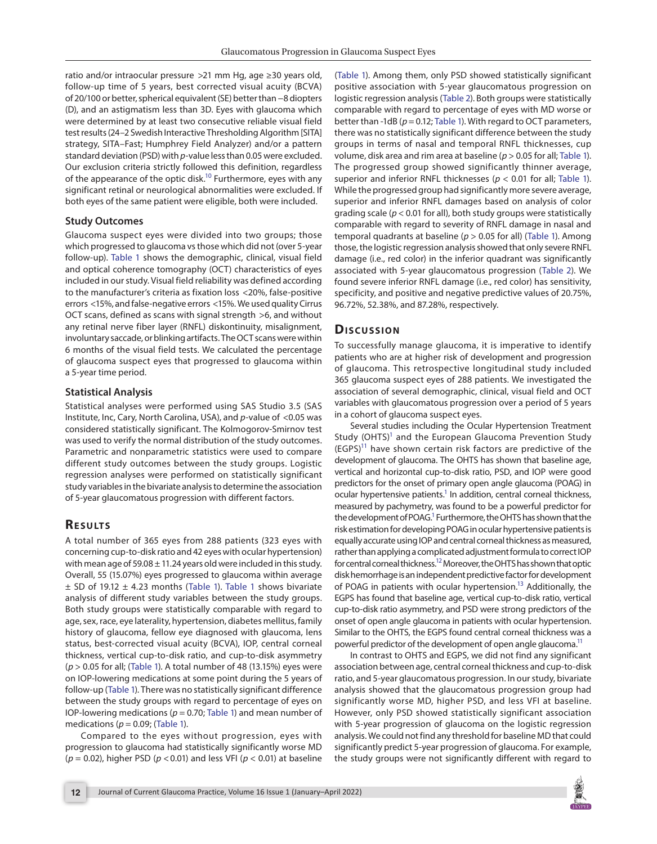ratio and/or intraocular pressure >21 mm Hg, age ≥30 years old, follow-up time of 5 years, best corrected visual acuity (BCVA) of 20/100 or better, spherical equivalent (SE) better than −8 diopters (D), and an astigmatism less than 3D. Eyes with glaucoma which were determined by at least two consecutive reliable visual field test results (24–2 Swedish Interactive Thresholding Algorithm [SITA] strategy, SITA–Fast; Humphrey Field Analyzer) and/or a pattern standard deviation (PSD) with *p*-value less than 0.05 were excluded. Our exclusion criteria strictly followed this definition, regardless of the appearance of the optic disk.<sup>10</sup> Furthermore, eyes with any significant retinal or neurological abnormalities were excluded. If both eyes of the same patient were eligible, both were included.

#### **Study Outcomes**

<span id="page-1-0"></span>Glaucoma suspect eyes were divided into two groups; those which progressed to glaucoma vs those which did not (over 5-year follow-up). [Table 1](#page-2-0) shows the demographic, clinical, visual field and optical coherence tomography (OCT) characteristics of eyes included in our study. Visual field reliability was defined according to the manufacturer's criteria as fixation loss <20%, false-positive errors <15%, and false-negative errors <15%. We used quality Cirrus OCT scans, defined as scans with signal strength >6, and without any retinal nerve fiber layer (RNFL) diskontinuity, misalignment, involuntary saccade, or blinking artifacts. The OCT scans were within 6 months of the visual field tests. We calculated the percentage of glaucoma suspect eyes that progressed to glaucoma within a 5-year time period.

#### **Statistical Analysis**

Statistical analyses were performed using SAS Studio 3.5 (SAS Institute, Inc, Cary, North Carolina, USA), and *p*-value of <0.05 was considered statistically significant. The Kolmogorov-Smirnov test was used to verify the normal distribution of the study outcomes. Parametric and nonparametric statistics were used to compare different study outcomes between the study groups. Logistic regression analyses were performed on statistically significant study variables in the bivariate analysis to determine the association of 5-year glaucomatous progression with different factors.

#### **Resu lts**

A total number of 365 eyes from 288 patients (323 eyes with concerning cup-to-disk ratio and 42 eyes with ocular hypertension) with mean age of 59.08  $\pm$  11.24 years old were included in this study. Overall, 55 (15.07%) eyes progressed to glaucoma within average  $\pm$  SD of 19.12  $\pm$  4.23 months (Table 1). Table 1 shows bivariate analysis of different study variables between the study groups. Both study groups were statistically comparable with regard to age, sex, race, eye laterality, hypertension, diabetes mellitus, family history of glaucoma, fellow eye diagnosed with glaucoma, lens status, best-corrected visual acuity (BCVA), IOP, central corneal thickness, vertical cup-to-disk ratio, and cup-to-disk asymmetry (*p* > 0.05 for all; [\(Table 1\)](#page-2-0). A total number of 48 (13.15%) eyes were on IOP-lowering medications at some point during the 5 years of follow-up [\(Table 1](#page-2-0)). There was no statistically significant difference between the study groups with regard to percentage of eyes on IOP-lowering medications (*p* = 0.70; [Table 1](#page-2-0)) and mean number of medications (*p* = 0.09; ([Table 1](#page-2-0)).

Compared to the eyes without progression, eyes with progression to glaucoma had statistically significantly worse MD (*p* = 0.02), higher PSD (*p* <0.01) and less VFI (*p* < 0.01) at baseline

<span id="page-1-2"></span><span id="page-1-1"></span>[\(Table 1](#page-2-0)). Among them, only PSD showed statistically significant positive association with 5-year glaucomatous progression on logistic regression analysis ([Table 2\)](#page-4-9). Both groups were statistically comparable with regard to percentage of eyes with MD worse or better than -1dB (*p* = 0.12; [Table 1](#page-2-0)). With regard to OCT parameters, there was no statistically significant difference between the study groups in terms of nasal and temporal RNFL thicknesses, cup volume, disk area and rim area at baseline (*p* > 0.05 for all; [Table 1](#page-2-0)). The progressed group showed significantly thinner average, superior and inferior RNFL thicknesses (*p* < 0.01 for all; [Table 1](#page-2-0)). While the progressed group had significantly more severe average, superior and inferior RNFL damages based on analysis of color grading scale (*p* < 0.01 for all), both study groups were statistically comparable with regard to severity of RNFL damage in nasal and temporal quadrants at baseline (*p* > 0.05 for all) [\(Table 1\)](#page-2-0). Among those, the logistic regression analysis showed that only severe RNFL damage (i.e., red color) in the inferior quadrant was significantly associated with 5-year glaucomatous progression ([Table 2](#page-4-9)). We found severe inferior RNFL damage (i.e., red color) has sensitivity, specificity, and positive and negative predictive values of 20.75%, 96.72%, 52.38%, and 87.28%, respectively.

#### **Discussion**

To successfully manage glaucoma, it is imperative to identify patients who are at higher risk of development and progression of glaucoma. This retrospective longitudinal study included 365 glaucoma suspect eyes of 288 patients. We investigated the association of several demographic, clinical, visual field and OCT variables with glaucomatous progression over a period of 5 years in a cohort of glaucoma suspect eyes.

<span id="page-1-3"></span>Several studies including the Ocular Hypertension Treatment Study (OHTS)<sup>1</sup> and the European Glaucoma Prevention Study  $(EGPS)^{11}$  have shown certain risk factors are predictive of the development of glaucoma. The OHTS has shown that baseline age, vertical and horizontal cup-to-disk ratio, PSD, and IOP were good predictors for the onset of primary open angle glaucoma (POAG) in ocular hypertensive patients.<sup>1</sup> In addition, central corneal thickness, measured by pachymetry, was found to be a powerful predictor for the development of POAG.<sup>1</sup> Furthermore, the OHTS has shown that the risk estimation for developing POAG in ocular hypertensive patients is equally accurate using IOP and central corneal thickness as measured, rather than applying a complicated adjustment formula to correct IOP for central corneal thickness[.12](#page-5-1) Moreover, the OHTS has shown that optic disk hemorrhage is an independent predictive factor for development of POAG in patients with ocular hypertension.<sup>13</sup> Additionally, the EGPS has found that baseline age, vertical cup-to-disk ratio, vertical cup-to-disk ratio asymmetry, and PSD were strong predictors of the onset of open angle glaucoma in patients with ocular hypertension. Similar to the OHTS, the EGPS found central corneal thickness was a powerful predictor of the development of open angle glaucoma.<sup>11</sup>

In contrast to OHTS and EGPS, we did not find any significant association between age, central corneal thickness and cup-to-disk ratio, and 5-year glaucomatous progression. In our study, bivariate analysis showed that the glaucomatous progression group had significantly worse MD, higher PSD, and less VFI at baseline. However, only PSD showed statistically significant association with 5-year progression of glaucoma on the logistic regression analysis. We could not find any threshold for baseline MD that could significantly predict 5-year progression of glaucoma. For example, the study groups were not significantly different with regard to

<span id="page-1-5"></span><span id="page-1-4"></span>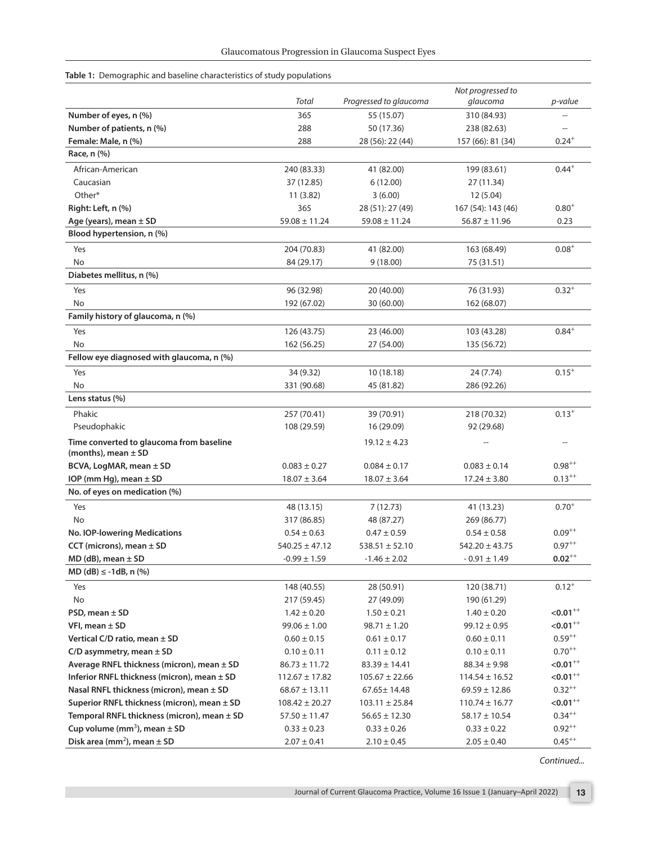<span id="page-2-0"></span>

|  |  |  |  |  | <b>Table 1:</b> Demographic and baseline characteristics of study populations |  |  |  |
|--|--|--|--|--|-------------------------------------------------------------------------------|--|--|--|
|--|--|--|--|--|-------------------------------------------------------------------------------|--|--|--|

| Total<br>Progressed to glaucoma<br>glaucoma<br>p-value<br>Number of eyes, n (%)<br>365<br>55 (15.07)<br>310 (84.93)<br>Number of patients, n (%)<br>288<br>50 (17.36)<br>238 (82.63)<br>Female: Male, n (%)<br>$0.24^{+}$<br>288<br>28 (56): 22 (44)<br>157 (66): 81 (34)<br>Race, n (%)<br>$0.44^{+}$<br>African-American<br>240 (83.33)<br>41 (82.00)<br>199 (83.61)<br>37 (12.85)<br>Caucasian<br>6(12.00)<br>27 (11.34)<br>Other*<br>11(3.82)<br>3(6.00)<br>12 (5.04)<br>365<br>$0.80^{+}$<br>Right: Left, n (%)<br>28 (51): 27 (49)<br>167 (54): 143 (46)<br>Age (years), mean $\pm$ SD<br>$59.08 \pm 11.24$<br>$59.08 \pm 11.24$<br>$56.87 \pm 11.96$<br>0.23<br>Blood hypertension, n (%)<br>Yes<br>204 (70.83)<br>$0.08^{+}$<br>41 (82.00)<br>163 (68.49)<br><b>No</b><br>9(18.00)<br>84 (29.17)<br>75 (31.51)<br>Diabetes mellitus, n (%)<br>Yes<br>96 (32.98)<br>20 (40.00)<br>76 (31.93)<br>$0.32^{+}$<br>No<br>192 (67.02)<br>30 (60.00)<br>162 (68.07)<br>Family history of glaucoma, n (%)<br>$0.84^{+}$<br>Yes<br>126 (43.75)<br>23 (46.00)<br>103 (43.28)<br>No<br>162 (56.25)<br>27 (54.00)<br>135 (56.72)<br>Fellow eye diagnosed with glaucoma, n (%)<br>Yes<br>34 (9.32)<br>10 (18.18)<br>24 (7.74)<br>$0.15^{+}$<br>No<br>331 (90.68)<br>45 (81.82)<br>286 (92.26)<br>Lens status (%)<br>Phakic<br>257 (70.41)<br>39 (70.91)<br>218 (70.32)<br>$0.13^{+}$<br>Pseudophakic<br>108 (29.59)<br>16 (29.09)<br>92 (29.68)<br>Time converted to glaucoma from baseline<br>$19.12 \pm 4.23$<br>(months), mean $\pm$ SD<br>$0.98^{++}$<br>BCVA, LogMAR, mean ± SD<br>$0.083 \pm 0.27$<br>$0.084 \pm 0.17$<br>$0.083 \pm 0.14$<br>IOP (mm Hg), mean $\pm$ SD<br>$0.13^{++}$<br>$18.07 \pm 3.64$<br>$18.07 \pm 3.64$<br>$17.24 \pm 3.80$<br>No. of eyes on medication (%)<br>$0.70^{+}$<br>Yes<br>48 (13.15)<br>7(12.73)<br>41 (13.23)<br><b>No</b><br>317 (86.85)<br>48 (87.27)<br>269 (86.77)<br>$0.09^{++}$<br><b>No. IOP-lowering Medications</b><br>$0.54 \pm 0.63$<br>$0.47 \pm 0.59$<br>$0.54 \pm 0.58$<br>$0.97^{++}$<br>CCT (microns), mean $\pm$ SD<br>$540.25 \pm 47.12$<br>$538.51 \pm 52.10$<br>$542.20 \pm 43.75$<br>$MD$ (dB), mean $\pm$ SD<br>$-0.99 \pm 1.59$<br>$-1.46 \pm 2.02$<br>$-0.91 \pm 1.49$<br>$0.02^{++}$<br>$MD$ (dB) $\leq$ -1dB, n (%)<br>148 (40.55)<br>28 (50.91)<br>120 (38.71)<br>$0.12^{+}$<br>Yes<br>No<br>217 (59.45)<br>27 (49.09)<br>190 (61.29)<br>$< 0.01^{++}$<br>PSD, mean $\pm$ SD<br>$1.42 \pm 0.20$<br>$1.50 \pm 0.21$<br>$1.40 \pm 0.20$<br>$< 0.01^{++}$<br>VFI, mean $\pm$ SD<br>$99.06 \pm 1.00$<br>$98.71 \pm 1.20$<br>$99.12 \pm 0.95$<br>Vertical C/D ratio, mean ± SD<br>$0.59^{++}$<br>$0.60 \pm 0.15$<br>$0.61 \pm 0.17$<br>$0.60 \pm 0.11$<br>$0.70^{++}$<br>C/D asymmetry, mean $\pm$ SD<br>$0.10 \pm 0.11$<br>$0.11 \pm 0.12$<br>$0.10 \pm 0.11$<br>Average RNFL thickness (micron), mean $\pm$ SD<br>$< 0.01$ <sup>++</sup><br>$86.73 \pm 11.72$<br>$83.39 \pm 14.41$<br>$88.34 \pm 9.98$<br>Inferior RNFL thickness (micron), mean $\pm$ SD<br>$< 0.01$ <sup>++</sup><br>$112.67 \pm 17.82$<br>$105.67 \pm 22.66$<br>$114.54 \pm 16.52$<br>Nasal RNFL thickness (micron), mean $\pm$ SD<br>$0.32^{++}$<br>$68.67 \pm 13.11$<br>67.65± 14.48<br>$69.59 \pm 12.86$<br>Superior RNFL thickness (micron), mean ± SD<br>$< 0.01^{++}$<br>$108.42 \pm 20.27$<br>$103.11 \pm 25.84$<br>$110.74 \pm 16.77$<br>$0.34^{++}$<br>Temporal RNFL thickness (micron), mean $\pm$ SD<br>$57.50 \pm 11.47$<br>$56.65 \pm 12.30$<br>$58.17 \pm 10.54$<br>Cup volume (mm <sup>3</sup> ), mean $\pm$ SD<br>$0.92^{++}$<br>$0.33 \pm 0.23$<br>$0.33 \pm 0.26$<br>$0.33 \pm 0.22$ |  | Not progressed to |  |
|---------------------------------------------------------------------------------------------------------------------------------------------------------------------------------------------------------------------------------------------------------------------------------------------------------------------------------------------------------------------------------------------------------------------------------------------------------------------------------------------------------------------------------------------------------------------------------------------------------------------------------------------------------------------------------------------------------------------------------------------------------------------------------------------------------------------------------------------------------------------------------------------------------------------------------------------------------------------------------------------------------------------------------------------------------------------------------------------------------------------------------------------------------------------------------------------------------------------------------------------------------------------------------------------------------------------------------------------------------------------------------------------------------------------------------------------------------------------------------------------------------------------------------------------------------------------------------------------------------------------------------------------------------------------------------------------------------------------------------------------------------------------------------------------------------------------------------------------------------------------------------------------------------------------------------------------------------------------------------------------------------------------------------------------------------------------------------------------------------------------------------------------------------------------------------------------------------------------------------------------------------------------------------------------------------------------------------------------------------------------------------------------------------------------------------------------------------------------------------------------------------------------------------------------------------------------------------------------------------------------------------------------------------------------------------------------------------------------------------------------------------------------------------------------------------------------------------------------------------------------------------------------------------------------------------------------------------------------------------------------------------------------------------------------------------------------------------------------------------------------------------------------------------------------------------------------------------------------------------------------------------------------------------------------------------------------------------------------------------------------------------------------------------------------------------------------------------------------------------------------------------------------------------------------------------------------------------------------------------------------------------------|--|-------------------|--|
|                                                                                                                                                                                                                                                                                                                                                                                                                                                                                                                                                                                                                                                                                                                                                                                                                                                                                                                                                                                                                                                                                                                                                                                                                                                                                                                                                                                                                                                                                                                                                                                                                                                                                                                                                                                                                                                                                                                                                                                                                                                                                                                                                                                                                                                                                                                                                                                                                                                                                                                                                                                                                                                                                                                                                                                                                                                                                                                                                                                                                                                                                                                                                                                                                                                                                                                                                                                                                                                                                                                                                                                                                                       |  |                   |  |
|                                                                                                                                                                                                                                                                                                                                                                                                                                                                                                                                                                                                                                                                                                                                                                                                                                                                                                                                                                                                                                                                                                                                                                                                                                                                                                                                                                                                                                                                                                                                                                                                                                                                                                                                                                                                                                                                                                                                                                                                                                                                                                                                                                                                                                                                                                                                                                                                                                                                                                                                                                                                                                                                                                                                                                                                                                                                                                                                                                                                                                                                                                                                                                                                                                                                                                                                                                                                                                                                                                                                                                                                                                       |  |                   |  |
|                                                                                                                                                                                                                                                                                                                                                                                                                                                                                                                                                                                                                                                                                                                                                                                                                                                                                                                                                                                                                                                                                                                                                                                                                                                                                                                                                                                                                                                                                                                                                                                                                                                                                                                                                                                                                                                                                                                                                                                                                                                                                                                                                                                                                                                                                                                                                                                                                                                                                                                                                                                                                                                                                                                                                                                                                                                                                                                                                                                                                                                                                                                                                                                                                                                                                                                                                                                                                                                                                                                                                                                                                                       |  |                   |  |
|                                                                                                                                                                                                                                                                                                                                                                                                                                                                                                                                                                                                                                                                                                                                                                                                                                                                                                                                                                                                                                                                                                                                                                                                                                                                                                                                                                                                                                                                                                                                                                                                                                                                                                                                                                                                                                                                                                                                                                                                                                                                                                                                                                                                                                                                                                                                                                                                                                                                                                                                                                                                                                                                                                                                                                                                                                                                                                                                                                                                                                                                                                                                                                                                                                                                                                                                                                                                                                                                                                                                                                                                                                       |  |                   |  |
|                                                                                                                                                                                                                                                                                                                                                                                                                                                                                                                                                                                                                                                                                                                                                                                                                                                                                                                                                                                                                                                                                                                                                                                                                                                                                                                                                                                                                                                                                                                                                                                                                                                                                                                                                                                                                                                                                                                                                                                                                                                                                                                                                                                                                                                                                                                                                                                                                                                                                                                                                                                                                                                                                                                                                                                                                                                                                                                                                                                                                                                                                                                                                                                                                                                                                                                                                                                                                                                                                                                                                                                                                                       |  |                   |  |
|                                                                                                                                                                                                                                                                                                                                                                                                                                                                                                                                                                                                                                                                                                                                                                                                                                                                                                                                                                                                                                                                                                                                                                                                                                                                                                                                                                                                                                                                                                                                                                                                                                                                                                                                                                                                                                                                                                                                                                                                                                                                                                                                                                                                                                                                                                                                                                                                                                                                                                                                                                                                                                                                                                                                                                                                                                                                                                                                                                                                                                                                                                                                                                                                                                                                                                                                                                                                                                                                                                                                                                                                                                       |  |                   |  |
|                                                                                                                                                                                                                                                                                                                                                                                                                                                                                                                                                                                                                                                                                                                                                                                                                                                                                                                                                                                                                                                                                                                                                                                                                                                                                                                                                                                                                                                                                                                                                                                                                                                                                                                                                                                                                                                                                                                                                                                                                                                                                                                                                                                                                                                                                                                                                                                                                                                                                                                                                                                                                                                                                                                                                                                                                                                                                                                                                                                                                                                                                                                                                                                                                                                                                                                                                                                                                                                                                                                                                                                                                                       |  |                   |  |
|                                                                                                                                                                                                                                                                                                                                                                                                                                                                                                                                                                                                                                                                                                                                                                                                                                                                                                                                                                                                                                                                                                                                                                                                                                                                                                                                                                                                                                                                                                                                                                                                                                                                                                                                                                                                                                                                                                                                                                                                                                                                                                                                                                                                                                                                                                                                                                                                                                                                                                                                                                                                                                                                                                                                                                                                                                                                                                                                                                                                                                                                                                                                                                                                                                                                                                                                                                                                                                                                                                                                                                                                                                       |  |                   |  |
|                                                                                                                                                                                                                                                                                                                                                                                                                                                                                                                                                                                                                                                                                                                                                                                                                                                                                                                                                                                                                                                                                                                                                                                                                                                                                                                                                                                                                                                                                                                                                                                                                                                                                                                                                                                                                                                                                                                                                                                                                                                                                                                                                                                                                                                                                                                                                                                                                                                                                                                                                                                                                                                                                                                                                                                                                                                                                                                                                                                                                                                                                                                                                                                                                                                                                                                                                                                                                                                                                                                                                                                                                                       |  |                   |  |
|                                                                                                                                                                                                                                                                                                                                                                                                                                                                                                                                                                                                                                                                                                                                                                                                                                                                                                                                                                                                                                                                                                                                                                                                                                                                                                                                                                                                                                                                                                                                                                                                                                                                                                                                                                                                                                                                                                                                                                                                                                                                                                                                                                                                                                                                                                                                                                                                                                                                                                                                                                                                                                                                                                                                                                                                                                                                                                                                                                                                                                                                                                                                                                                                                                                                                                                                                                                                                                                                                                                                                                                                                                       |  |                   |  |
|                                                                                                                                                                                                                                                                                                                                                                                                                                                                                                                                                                                                                                                                                                                                                                                                                                                                                                                                                                                                                                                                                                                                                                                                                                                                                                                                                                                                                                                                                                                                                                                                                                                                                                                                                                                                                                                                                                                                                                                                                                                                                                                                                                                                                                                                                                                                                                                                                                                                                                                                                                                                                                                                                                                                                                                                                                                                                                                                                                                                                                                                                                                                                                                                                                                                                                                                                                                                                                                                                                                                                                                                                                       |  |                   |  |
|                                                                                                                                                                                                                                                                                                                                                                                                                                                                                                                                                                                                                                                                                                                                                                                                                                                                                                                                                                                                                                                                                                                                                                                                                                                                                                                                                                                                                                                                                                                                                                                                                                                                                                                                                                                                                                                                                                                                                                                                                                                                                                                                                                                                                                                                                                                                                                                                                                                                                                                                                                                                                                                                                                                                                                                                                                                                                                                                                                                                                                                                                                                                                                                                                                                                                                                                                                                                                                                                                                                                                                                                                                       |  |                   |  |
|                                                                                                                                                                                                                                                                                                                                                                                                                                                                                                                                                                                                                                                                                                                                                                                                                                                                                                                                                                                                                                                                                                                                                                                                                                                                                                                                                                                                                                                                                                                                                                                                                                                                                                                                                                                                                                                                                                                                                                                                                                                                                                                                                                                                                                                                                                                                                                                                                                                                                                                                                                                                                                                                                                                                                                                                                                                                                                                                                                                                                                                                                                                                                                                                                                                                                                                                                                                                                                                                                                                                                                                                                                       |  |                   |  |
|                                                                                                                                                                                                                                                                                                                                                                                                                                                                                                                                                                                                                                                                                                                                                                                                                                                                                                                                                                                                                                                                                                                                                                                                                                                                                                                                                                                                                                                                                                                                                                                                                                                                                                                                                                                                                                                                                                                                                                                                                                                                                                                                                                                                                                                                                                                                                                                                                                                                                                                                                                                                                                                                                                                                                                                                                                                                                                                                                                                                                                                                                                                                                                                                                                                                                                                                                                                                                                                                                                                                                                                                                                       |  |                   |  |
|                                                                                                                                                                                                                                                                                                                                                                                                                                                                                                                                                                                                                                                                                                                                                                                                                                                                                                                                                                                                                                                                                                                                                                                                                                                                                                                                                                                                                                                                                                                                                                                                                                                                                                                                                                                                                                                                                                                                                                                                                                                                                                                                                                                                                                                                                                                                                                                                                                                                                                                                                                                                                                                                                                                                                                                                                                                                                                                                                                                                                                                                                                                                                                                                                                                                                                                                                                                                                                                                                                                                                                                                                                       |  |                   |  |
|                                                                                                                                                                                                                                                                                                                                                                                                                                                                                                                                                                                                                                                                                                                                                                                                                                                                                                                                                                                                                                                                                                                                                                                                                                                                                                                                                                                                                                                                                                                                                                                                                                                                                                                                                                                                                                                                                                                                                                                                                                                                                                                                                                                                                                                                                                                                                                                                                                                                                                                                                                                                                                                                                                                                                                                                                                                                                                                                                                                                                                                                                                                                                                                                                                                                                                                                                                                                                                                                                                                                                                                                                                       |  |                   |  |
|                                                                                                                                                                                                                                                                                                                                                                                                                                                                                                                                                                                                                                                                                                                                                                                                                                                                                                                                                                                                                                                                                                                                                                                                                                                                                                                                                                                                                                                                                                                                                                                                                                                                                                                                                                                                                                                                                                                                                                                                                                                                                                                                                                                                                                                                                                                                                                                                                                                                                                                                                                                                                                                                                                                                                                                                                                                                                                                                                                                                                                                                                                                                                                                                                                                                                                                                                                                                                                                                                                                                                                                                                                       |  |                   |  |
|                                                                                                                                                                                                                                                                                                                                                                                                                                                                                                                                                                                                                                                                                                                                                                                                                                                                                                                                                                                                                                                                                                                                                                                                                                                                                                                                                                                                                                                                                                                                                                                                                                                                                                                                                                                                                                                                                                                                                                                                                                                                                                                                                                                                                                                                                                                                                                                                                                                                                                                                                                                                                                                                                                                                                                                                                                                                                                                                                                                                                                                                                                                                                                                                                                                                                                                                                                                                                                                                                                                                                                                                                                       |  |                   |  |
|                                                                                                                                                                                                                                                                                                                                                                                                                                                                                                                                                                                                                                                                                                                                                                                                                                                                                                                                                                                                                                                                                                                                                                                                                                                                                                                                                                                                                                                                                                                                                                                                                                                                                                                                                                                                                                                                                                                                                                                                                                                                                                                                                                                                                                                                                                                                                                                                                                                                                                                                                                                                                                                                                                                                                                                                                                                                                                                                                                                                                                                                                                                                                                                                                                                                                                                                                                                                                                                                                                                                                                                                                                       |  |                   |  |
|                                                                                                                                                                                                                                                                                                                                                                                                                                                                                                                                                                                                                                                                                                                                                                                                                                                                                                                                                                                                                                                                                                                                                                                                                                                                                                                                                                                                                                                                                                                                                                                                                                                                                                                                                                                                                                                                                                                                                                                                                                                                                                                                                                                                                                                                                                                                                                                                                                                                                                                                                                                                                                                                                                                                                                                                                                                                                                                                                                                                                                                                                                                                                                                                                                                                                                                                                                                                                                                                                                                                                                                                                                       |  |                   |  |
|                                                                                                                                                                                                                                                                                                                                                                                                                                                                                                                                                                                                                                                                                                                                                                                                                                                                                                                                                                                                                                                                                                                                                                                                                                                                                                                                                                                                                                                                                                                                                                                                                                                                                                                                                                                                                                                                                                                                                                                                                                                                                                                                                                                                                                                                                                                                                                                                                                                                                                                                                                                                                                                                                                                                                                                                                                                                                                                                                                                                                                                                                                                                                                                                                                                                                                                                                                                                                                                                                                                                                                                                                                       |  |                   |  |
|                                                                                                                                                                                                                                                                                                                                                                                                                                                                                                                                                                                                                                                                                                                                                                                                                                                                                                                                                                                                                                                                                                                                                                                                                                                                                                                                                                                                                                                                                                                                                                                                                                                                                                                                                                                                                                                                                                                                                                                                                                                                                                                                                                                                                                                                                                                                                                                                                                                                                                                                                                                                                                                                                                                                                                                                                                                                                                                                                                                                                                                                                                                                                                                                                                                                                                                                                                                                                                                                                                                                                                                                                                       |  |                   |  |
|                                                                                                                                                                                                                                                                                                                                                                                                                                                                                                                                                                                                                                                                                                                                                                                                                                                                                                                                                                                                                                                                                                                                                                                                                                                                                                                                                                                                                                                                                                                                                                                                                                                                                                                                                                                                                                                                                                                                                                                                                                                                                                                                                                                                                                                                                                                                                                                                                                                                                                                                                                                                                                                                                                                                                                                                                                                                                                                                                                                                                                                                                                                                                                                                                                                                                                                                                                                                                                                                                                                                                                                                                                       |  |                   |  |
|                                                                                                                                                                                                                                                                                                                                                                                                                                                                                                                                                                                                                                                                                                                                                                                                                                                                                                                                                                                                                                                                                                                                                                                                                                                                                                                                                                                                                                                                                                                                                                                                                                                                                                                                                                                                                                                                                                                                                                                                                                                                                                                                                                                                                                                                                                                                                                                                                                                                                                                                                                                                                                                                                                                                                                                                                                                                                                                                                                                                                                                                                                                                                                                                                                                                                                                                                                                                                                                                                                                                                                                                                                       |  |                   |  |
|                                                                                                                                                                                                                                                                                                                                                                                                                                                                                                                                                                                                                                                                                                                                                                                                                                                                                                                                                                                                                                                                                                                                                                                                                                                                                                                                                                                                                                                                                                                                                                                                                                                                                                                                                                                                                                                                                                                                                                                                                                                                                                                                                                                                                                                                                                                                                                                                                                                                                                                                                                                                                                                                                                                                                                                                                                                                                                                                                                                                                                                                                                                                                                                                                                                                                                                                                                                                                                                                                                                                                                                                                                       |  |                   |  |
|                                                                                                                                                                                                                                                                                                                                                                                                                                                                                                                                                                                                                                                                                                                                                                                                                                                                                                                                                                                                                                                                                                                                                                                                                                                                                                                                                                                                                                                                                                                                                                                                                                                                                                                                                                                                                                                                                                                                                                                                                                                                                                                                                                                                                                                                                                                                                                                                                                                                                                                                                                                                                                                                                                                                                                                                                                                                                                                                                                                                                                                                                                                                                                                                                                                                                                                                                                                                                                                                                                                                                                                                                                       |  |                   |  |
|                                                                                                                                                                                                                                                                                                                                                                                                                                                                                                                                                                                                                                                                                                                                                                                                                                                                                                                                                                                                                                                                                                                                                                                                                                                                                                                                                                                                                                                                                                                                                                                                                                                                                                                                                                                                                                                                                                                                                                                                                                                                                                                                                                                                                                                                                                                                                                                                                                                                                                                                                                                                                                                                                                                                                                                                                                                                                                                                                                                                                                                                                                                                                                                                                                                                                                                                                                                                                                                                                                                                                                                                                                       |  |                   |  |
|                                                                                                                                                                                                                                                                                                                                                                                                                                                                                                                                                                                                                                                                                                                                                                                                                                                                                                                                                                                                                                                                                                                                                                                                                                                                                                                                                                                                                                                                                                                                                                                                                                                                                                                                                                                                                                                                                                                                                                                                                                                                                                                                                                                                                                                                                                                                                                                                                                                                                                                                                                                                                                                                                                                                                                                                                                                                                                                                                                                                                                                                                                                                                                                                                                                                                                                                                                                                                                                                                                                                                                                                                                       |  |                   |  |
|                                                                                                                                                                                                                                                                                                                                                                                                                                                                                                                                                                                                                                                                                                                                                                                                                                                                                                                                                                                                                                                                                                                                                                                                                                                                                                                                                                                                                                                                                                                                                                                                                                                                                                                                                                                                                                                                                                                                                                                                                                                                                                                                                                                                                                                                                                                                                                                                                                                                                                                                                                                                                                                                                                                                                                                                                                                                                                                                                                                                                                                                                                                                                                                                                                                                                                                                                                                                                                                                                                                                                                                                                                       |  |                   |  |
|                                                                                                                                                                                                                                                                                                                                                                                                                                                                                                                                                                                                                                                                                                                                                                                                                                                                                                                                                                                                                                                                                                                                                                                                                                                                                                                                                                                                                                                                                                                                                                                                                                                                                                                                                                                                                                                                                                                                                                                                                                                                                                                                                                                                                                                                                                                                                                                                                                                                                                                                                                                                                                                                                                                                                                                                                                                                                                                                                                                                                                                                                                                                                                                                                                                                                                                                                                                                                                                                                                                                                                                                                                       |  |                   |  |
|                                                                                                                                                                                                                                                                                                                                                                                                                                                                                                                                                                                                                                                                                                                                                                                                                                                                                                                                                                                                                                                                                                                                                                                                                                                                                                                                                                                                                                                                                                                                                                                                                                                                                                                                                                                                                                                                                                                                                                                                                                                                                                                                                                                                                                                                                                                                                                                                                                                                                                                                                                                                                                                                                                                                                                                                                                                                                                                                                                                                                                                                                                                                                                                                                                                                                                                                                                                                                                                                                                                                                                                                                                       |  |                   |  |
|                                                                                                                                                                                                                                                                                                                                                                                                                                                                                                                                                                                                                                                                                                                                                                                                                                                                                                                                                                                                                                                                                                                                                                                                                                                                                                                                                                                                                                                                                                                                                                                                                                                                                                                                                                                                                                                                                                                                                                                                                                                                                                                                                                                                                                                                                                                                                                                                                                                                                                                                                                                                                                                                                                                                                                                                                                                                                                                                                                                                                                                                                                                                                                                                                                                                                                                                                                                                                                                                                                                                                                                                                                       |  |                   |  |
|                                                                                                                                                                                                                                                                                                                                                                                                                                                                                                                                                                                                                                                                                                                                                                                                                                                                                                                                                                                                                                                                                                                                                                                                                                                                                                                                                                                                                                                                                                                                                                                                                                                                                                                                                                                                                                                                                                                                                                                                                                                                                                                                                                                                                                                                                                                                                                                                                                                                                                                                                                                                                                                                                                                                                                                                                                                                                                                                                                                                                                                                                                                                                                                                                                                                                                                                                                                                                                                                                                                                                                                                                                       |  |                   |  |
|                                                                                                                                                                                                                                                                                                                                                                                                                                                                                                                                                                                                                                                                                                                                                                                                                                                                                                                                                                                                                                                                                                                                                                                                                                                                                                                                                                                                                                                                                                                                                                                                                                                                                                                                                                                                                                                                                                                                                                                                                                                                                                                                                                                                                                                                                                                                                                                                                                                                                                                                                                                                                                                                                                                                                                                                                                                                                                                                                                                                                                                                                                                                                                                                                                                                                                                                                                                                                                                                                                                                                                                                                                       |  |                   |  |
|                                                                                                                                                                                                                                                                                                                                                                                                                                                                                                                                                                                                                                                                                                                                                                                                                                                                                                                                                                                                                                                                                                                                                                                                                                                                                                                                                                                                                                                                                                                                                                                                                                                                                                                                                                                                                                                                                                                                                                                                                                                                                                                                                                                                                                                                                                                                                                                                                                                                                                                                                                                                                                                                                                                                                                                                                                                                                                                                                                                                                                                                                                                                                                                                                                                                                                                                                                                                                                                                                                                                                                                                                                       |  |                   |  |
|                                                                                                                                                                                                                                                                                                                                                                                                                                                                                                                                                                                                                                                                                                                                                                                                                                                                                                                                                                                                                                                                                                                                                                                                                                                                                                                                                                                                                                                                                                                                                                                                                                                                                                                                                                                                                                                                                                                                                                                                                                                                                                                                                                                                                                                                                                                                                                                                                                                                                                                                                                                                                                                                                                                                                                                                                                                                                                                                                                                                                                                                                                                                                                                                                                                                                                                                                                                                                                                                                                                                                                                                                                       |  |                   |  |
|                                                                                                                                                                                                                                                                                                                                                                                                                                                                                                                                                                                                                                                                                                                                                                                                                                                                                                                                                                                                                                                                                                                                                                                                                                                                                                                                                                                                                                                                                                                                                                                                                                                                                                                                                                                                                                                                                                                                                                                                                                                                                                                                                                                                                                                                                                                                                                                                                                                                                                                                                                                                                                                                                                                                                                                                                                                                                                                                                                                                                                                                                                                                                                                                                                                                                                                                                                                                                                                                                                                                                                                                                                       |  |                   |  |
|                                                                                                                                                                                                                                                                                                                                                                                                                                                                                                                                                                                                                                                                                                                                                                                                                                                                                                                                                                                                                                                                                                                                                                                                                                                                                                                                                                                                                                                                                                                                                                                                                                                                                                                                                                                                                                                                                                                                                                                                                                                                                                                                                                                                                                                                                                                                                                                                                                                                                                                                                                                                                                                                                                                                                                                                                                                                                                                                                                                                                                                                                                                                                                                                                                                                                                                                                                                                                                                                                                                                                                                                                                       |  |                   |  |
|                                                                                                                                                                                                                                                                                                                                                                                                                                                                                                                                                                                                                                                                                                                                                                                                                                                                                                                                                                                                                                                                                                                                                                                                                                                                                                                                                                                                                                                                                                                                                                                                                                                                                                                                                                                                                                                                                                                                                                                                                                                                                                                                                                                                                                                                                                                                                                                                                                                                                                                                                                                                                                                                                                                                                                                                                                                                                                                                                                                                                                                                                                                                                                                                                                                                                                                                                                                                                                                                                                                                                                                                                                       |  |                   |  |
|                                                                                                                                                                                                                                                                                                                                                                                                                                                                                                                                                                                                                                                                                                                                                                                                                                                                                                                                                                                                                                                                                                                                                                                                                                                                                                                                                                                                                                                                                                                                                                                                                                                                                                                                                                                                                                                                                                                                                                                                                                                                                                                                                                                                                                                                                                                                                                                                                                                                                                                                                                                                                                                                                                                                                                                                                                                                                                                                                                                                                                                                                                                                                                                                                                                                                                                                                                                                                                                                                                                                                                                                                                       |  |                   |  |
|                                                                                                                                                                                                                                                                                                                                                                                                                                                                                                                                                                                                                                                                                                                                                                                                                                                                                                                                                                                                                                                                                                                                                                                                                                                                                                                                                                                                                                                                                                                                                                                                                                                                                                                                                                                                                                                                                                                                                                                                                                                                                                                                                                                                                                                                                                                                                                                                                                                                                                                                                                                                                                                                                                                                                                                                                                                                                                                                                                                                                                                                                                                                                                                                                                                                                                                                                                                                                                                                                                                                                                                                                                       |  |                   |  |
|                                                                                                                                                                                                                                                                                                                                                                                                                                                                                                                                                                                                                                                                                                                                                                                                                                                                                                                                                                                                                                                                                                                                                                                                                                                                                                                                                                                                                                                                                                                                                                                                                                                                                                                                                                                                                                                                                                                                                                                                                                                                                                                                                                                                                                                                                                                                                                                                                                                                                                                                                                                                                                                                                                                                                                                                                                                                                                                                                                                                                                                                                                                                                                                                                                                                                                                                                                                                                                                                                                                                                                                                                                       |  |                   |  |
|                                                                                                                                                                                                                                                                                                                                                                                                                                                                                                                                                                                                                                                                                                                                                                                                                                                                                                                                                                                                                                                                                                                                                                                                                                                                                                                                                                                                                                                                                                                                                                                                                                                                                                                                                                                                                                                                                                                                                                                                                                                                                                                                                                                                                                                                                                                                                                                                                                                                                                                                                                                                                                                                                                                                                                                                                                                                                                                                                                                                                                                                                                                                                                                                                                                                                                                                                                                                                                                                                                                                                                                                                                       |  |                   |  |
|                                                                                                                                                                                                                                                                                                                                                                                                                                                                                                                                                                                                                                                                                                                                                                                                                                                                                                                                                                                                                                                                                                                                                                                                                                                                                                                                                                                                                                                                                                                                                                                                                                                                                                                                                                                                                                                                                                                                                                                                                                                                                                                                                                                                                                                                                                                                                                                                                                                                                                                                                                                                                                                                                                                                                                                                                                                                                                                                                                                                                                                                                                                                                                                                                                                                                                                                                                                                                                                                                                                                                                                                                                       |  |                   |  |
|                                                                                                                                                                                                                                                                                                                                                                                                                                                                                                                                                                                                                                                                                                                                                                                                                                                                                                                                                                                                                                                                                                                                                                                                                                                                                                                                                                                                                                                                                                                                                                                                                                                                                                                                                                                                                                                                                                                                                                                                                                                                                                                                                                                                                                                                                                                                                                                                                                                                                                                                                                                                                                                                                                                                                                                                                                                                                                                                                                                                                                                                                                                                                                                                                                                                                                                                                                                                                                                                                                                                                                                                                                       |  |                   |  |
|                                                                                                                                                                                                                                                                                                                                                                                                                                                                                                                                                                                                                                                                                                                                                                                                                                                                                                                                                                                                                                                                                                                                                                                                                                                                                                                                                                                                                                                                                                                                                                                                                                                                                                                                                                                                                                                                                                                                                                                                                                                                                                                                                                                                                                                                                                                                                                                                                                                                                                                                                                                                                                                                                                                                                                                                                                                                                                                                                                                                                                                                                                                                                                                                                                                                                                                                                                                                                                                                                                                                                                                                                                       |  |                   |  |
|                                                                                                                                                                                                                                                                                                                                                                                                                                                                                                                                                                                                                                                                                                                                                                                                                                                                                                                                                                                                                                                                                                                                                                                                                                                                                                                                                                                                                                                                                                                                                                                                                                                                                                                                                                                                                                                                                                                                                                                                                                                                                                                                                                                                                                                                                                                                                                                                                                                                                                                                                                                                                                                                                                                                                                                                                                                                                                                                                                                                                                                                                                                                                                                                                                                                                                                                                                                                                                                                                                                                                                                                                                       |  |                   |  |
|                                                                                                                                                                                                                                                                                                                                                                                                                                                                                                                                                                                                                                                                                                                                                                                                                                                                                                                                                                                                                                                                                                                                                                                                                                                                                                                                                                                                                                                                                                                                                                                                                                                                                                                                                                                                                                                                                                                                                                                                                                                                                                                                                                                                                                                                                                                                                                                                                                                                                                                                                                                                                                                                                                                                                                                                                                                                                                                                                                                                                                                                                                                                                                                                                                                                                                                                                                                                                                                                                                                                                                                                                                       |  |                   |  |
| Disk area (mm <sup>2</sup> ), mean $\pm$ SD<br>$0.45^{++}$<br>$2.07 \pm 0.41$<br>$2.10 \pm 0.45$<br>$2.05 \pm 0.40$                                                                                                                                                                                                                                                                                                                                                                                                                                                                                                                                                                                                                                                                                                                                                                                                                                                                                                                                                                                                                                                                                                                                                                                                                                                                                                                                                                                                                                                                                                                                                                                                                                                                                                                                                                                                                                                                                                                                                                                                                                                                                                                                                                                                                                                                                                                                                                                                                                                                                                                                                                                                                                                                                                                                                                                                                                                                                                                                                                                                                                                                                                                                                                                                                                                                                                                                                                                                                                                                                                                   |  |                   |  |

*Continued...*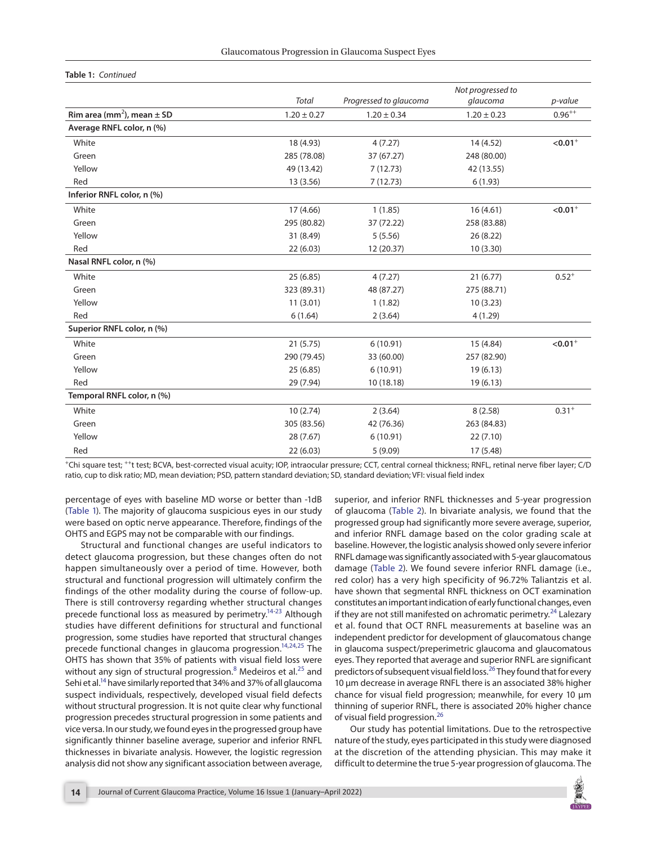#### **Table 1:** *Continued*

|                                            |                 |                        | Not progressed to |                       |
|--------------------------------------------|-----------------|------------------------|-------------------|-----------------------|
|                                            | <b>Total</b>    | Progressed to glaucoma | glaucoma          | p-value               |
| Rim area (mm <sup>2</sup> ), mean $\pm$ SD | $1.20 \pm 0.27$ | $1.20 \pm 0.34$        | $1.20 \pm 0.23$   | $0.96^{++}$           |
| Average RNFL color, n (%)                  |                 |                        |                   |                       |
| White                                      | 18 (4.93)       | 4(7.27)                | 14 (4.52)         | $< 0.01$ <sup>+</sup> |
| Green                                      | 285 (78.08)     | 37 (67.27)             | 248 (80.00)       |                       |
| Yellow                                     | 49 (13.42)      | 7(12.73)               | 42 (13.55)        |                       |
| Red                                        | 13 (3.56)       | 7(12.73)               | 6(1.93)           |                       |
| Inferior RNFL color, n (%)                 |                 |                        |                   |                       |
| White                                      | 17 (4.66)       | 1(1.85)                | 16(4.61)          | $< 0.01$ <sup>+</sup> |
| Green                                      | 295 (80.82)     | 37 (72.22)             | 258 (83.88)       |                       |
| Yellow                                     | 31 (8.49)       | 5(5.56)                | 26(8.22)          |                       |
| Red                                        | 22(6.03)        | 12 (20.37)             | 10(3.30)          |                       |
| Nasal RNFL color, n (%)                    |                 |                        |                   |                       |
| White                                      | 25(6.85)        | 4(7.27)                | 21(6.77)          | $0.52^{+}$            |
| Green                                      | 323 (89.31)     | 48 (87.27)             | 275 (88.71)       |                       |
| Yellow                                     | 11(3.01)        | 1(1.82)                | 10(3.23)          |                       |
| Red                                        | 6(1.64)         | 2(3.64)                | 4(1.29)           |                       |
| Superior RNFL color, n (%)                 |                 |                        |                   |                       |
| White                                      | 21(5.75)        | 6(10.91)               | 15 (4.84)         | $< 0.01$ <sup>+</sup> |
| Green                                      | 290 (79.45)     | 33 (60.00)             | 257 (82.90)       |                       |
| Yellow                                     | 25(6.85)        | 6(10.91)               | 19(6.13)          |                       |
| Red                                        | 29 (7.94)       | 10 (18.18)             | 19(6.13)          |                       |
| Temporal RNFL color, n (%)                 |                 |                        |                   |                       |
| White                                      | 10(2.74)        | 2(3.64)                | 8(2.58)           | $0.31^{+}$            |
| Green                                      | 305 (83.56)     | 42 (76.36)             | 263 (84.83)       |                       |
| Yellow                                     | 28 (7.67)       | 6(10.91)               | 22(7.10)          |                       |
| Red                                        | 22(6.03)        | 5(9.09)                | 17 (5.48)         |                       |

+Chi square test; ++t test; BCVA, best-corrected visual acuity; IOP, intraocular pressure; CCT, central corneal thickness; RNFL, retinal nerve fiber layer; C/D ratio, cup to disk ratio; MD, mean deviation; PSD, pattern standard deviation; SD, standard deviation; VFI: visual field index

percentage of eyes with baseline MD worse or better than -1dB [\(Table 1](#page-2-0)). The majority of glaucoma suspicious eyes in our study were based on optic nerve appearance. Therefore, findings of the OHTS and EGPS may not be comparable with our findings.

Structural and functional changes are useful indicators to detect glaucoma progression, but these changes often do not happen simultaneously over a period of time. However, both structural and functional progression will ultimately confirm the findings of the other modality during the course of follow-up. There is still controversy regarding whether structural changes precede functional loss as measured by perimetry.<sup>14[-23](#page-5-7)</sup> Although studies have different definitions for structural and functional progression, some studies have reported that structural changes precede functional changes in glaucoma progression.<sup>14,[24](#page-5-4),[25](#page-5-8)</sup> The OHTS has shown that 35% of patients with visual field loss were without any sign of structural progression.<sup>[8](#page-4-7)</sup> Medeiros et al.<sup>25</sup> and Sehi et al.<sup>14</sup> have similarly reported that 34% and 37% of all glaucoma suspect individuals, respectively, developed visual field defects without structural progression. It is not quite clear why functional progression precedes structural progression in some patients and vice versa. In our study, we found eyes in the progressed group have significantly thinner baseline average, superior and inferior RNFL thicknesses in bivariate analysis. However, the logistic regression analysis did not show any significant association between average, <span id="page-3-4"></span><span id="page-3-0"></span>superior, and inferior RNFL thicknesses and 5-year progression of glaucoma ([Table 2\)](#page-4-9). In bivariate analysis, we found that the progressed group had significantly more severe average, superior, and inferior RNFL damage based on the color grading scale at baseline. However, the logistic analysis showed only severe inferior RNFL damage was significantly associated with 5-year glaucomatous damage ([Table 2](#page-4-9)). We found severe inferior RNFL damage (i.e., red color) has a very high specificity of 96.72% Taliantzis et al. have shown that segmental RNFL thickness on OCT examination constitutes an important indication of early functional changes, even if they are not still manifested on achromatic perimetry.<sup>[24](#page-5-4)</sup> Lalezary et al. found that OCT RNFL measurements at baseline was an independent predictor for development of glaucomatous change in glaucoma suspect/preperimetric glaucoma and glaucomatous eyes. They reported that average and superior RNFL are significant predictors of subsequent visual field loss.<sup>[26](#page-5-5)</sup> They found that for every 10 μm decrease in average RNFL there is an associated 38% higher chance for visual field progression; meanwhile, for every 10 μm thinning of superior RNFL, there is associated 20% higher chance of visual field progression.<sup>[26](#page-5-5)</sup>

Our study has potential limitations. Due to the retrospective nature of the study, eyes participated in this study were diagnosed at the discretion of the attending physician. This may make it difficult to determine the true 5-year progression of glaucoma. The

<span id="page-3-3"></span><span id="page-3-2"></span><span id="page-3-1"></span>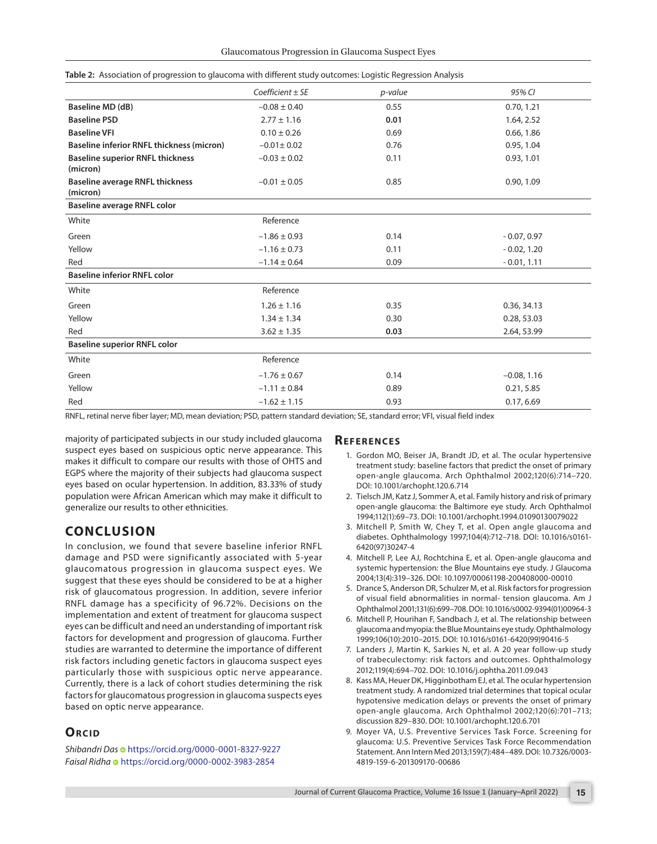| p-value<br>0.55<br>0.01 | 95% CI<br>0.70, 1.21 |
|-------------------------|----------------------|
|                         |                      |
|                         |                      |
|                         | 1.64, 2.52           |
| 0.69                    | 0.66, 1.86           |
| 0.76                    | 0.95, 1.04           |
| 0.11                    | 0.93, 1.01           |
| 0.85                    | 0.90, 1.09           |
|                         |                      |
|                         |                      |
| 0.14                    | $-0.07, 0.97$        |
| 0.11                    | $-0.02, 1.20$        |
| 0.09                    | $-0.01, 1.11$        |
|                         |                      |
|                         |                      |
| 0.35                    | 0.36, 34.13          |
| 0.30                    | 0.28, 53.03          |
| 0.03                    | 2.64, 53.99          |
|                         |                      |
|                         |                      |
| 0.14                    | $-0.08, 1.16$        |
| 0.89                    | 0.21, 5.85           |
| 0.93                    | 0.17, 6.69           |
|                         |                      |

<span id="page-4-9"></span>**[Table 2:](#page-1-1)** Association of progression to glaucoma with different study outcomes: Logistic Regression Analysis

RNFL, retinal nerve fiber layer; MD, mean deviation; PSD, pattern standard deviation; SE, standard error; VFI, visual field index

majority of participated subjects in our study included glaucoma suspect eyes based on suspicious optic nerve appearance. This makes it difficult to compare our results with those of OHTS and EGPS where the majority of their subjects had glaucoma suspect eyes based on ocular hypertension. In addition, 83.33% of study population were African American which may make it difficult to generalize our results to other ethnicities.

# **CONCLUSION**

In conclusion, we found that severe baseline inferior RNFL damage and PSD were significantly associated with 5-year glaucomatous progression in glaucoma suspect eyes. We suggest that these eyes should be considered to be at a higher risk of glaucomatous progression. In addition, severe inferior RNFL damage has a specificity of 96.72%. Decisions on the implementation and extent of treatment for glaucoma suspect eyes can be difficult and need an understanding of important risk factors for development and progression of glaucoma. Further studies are warranted to determine the importance of different risk factors including genetic factors in glaucoma suspect eyes particularly those with suspicious optic nerve appearance. Currently, there is a lack of cohort studies determining the risk factors for glaucomatous progression in glaucoma suspects eyes based on optic nerve appearance.

# **ORCID**

*Shibandri Das*<https://orcid.org/0000-0001-8327-9227> *Faisal Ridha* <https://orcid.org/0000-0002-3983-2854>

## **REFERENCES**

- <span id="page-4-0"></span>[1.](#page-0-0) Gordon MO, Beiser JA, Brandt JD, et al. The ocular hypertensive treatment study: baseline factors that predict the onset of primary open-angle glaucoma. Arch Ophthalmol 2002;120(6):714–720. DOI: [10.1001/archopht.120.6.714](https://doi.org/10.1001/archopht.120.6.714)
- <span id="page-4-1"></span>[2.](#page-0-1) Tielsch JM, Katz J, Sommer A, et al. Family history and risk of primary open-angle glaucoma: the Baltimore eye study. Arch Ophthalmol 1994;112(1):69–73. DOI: [10.1001/archopht.1994.01090130079022](https://doi.org/10.1001/archopht.1994.01090130079022)
- <span id="page-4-2"></span>[3.](#page-0-2) Mitchell P, Smith W, Chey T, et al. Open angle glaucoma and diabetes. Ophthalmology 1997;104(4):712–718. DOI: [10.1016/s0161-](https://doi.org/10.1016/s0161-6420(97)30247-4) [6420\(97\)30247-4](https://doi.org/10.1016/s0161-6420(97)30247-4)
- <span id="page-4-3"></span>[4.](#page-0-3) Mitchell P, Lee AJ, Rochtchina E, et al. Open-angle glaucoma and systemic hypertension: the Blue Mountains eye study. J Glaucoma 2004;13(4):319–326. DOI: [10.1097/00061198-200408000-00010](https://doi.org/10.1097/00061198-200408000-00010)
- <span id="page-4-4"></span>[5.](#page-0-4) Drance S, Anderson DR, Schulzer M, et al. Risk factors for progression of visual field abnormalities in normal- tension glaucoma. Am J Ophthalmol 2001;131(6):699–708. DOI: [10.1016/s0002-9394\(01\)00964-3](https://doi.org/10.1016/s0002-9394(01)00964-3)
- <span id="page-4-5"></span>[6.](#page-0-5) Mitchell P, Hourihan F, Sandbach J, et al. The relationship between glaucoma and myopia: the Blue Mountains eye study. Ophthalmology 1999;106(10):2010–2015. DOI: [10.1016/s0161-6420\(99\)90416-5](https://doi.org/10.1016/s0161-6420(99)90416-5)
- <span id="page-4-6"></span>[7.](#page-0-6) Landers J, Martin K, Sarkies N, et al. A 20 year follow-up study of trabeculectomy: risk factors and outcomes. Ophthalmology 2012;119(4):694–702. DOI: [10.1016/j.ophtha.2011.09.043](https://doi.org/10.1016/j.ophtha.2011.09.043)
- <span id="page-4-7"></span>[8.](#page-0-7) Kass MA, Heuer DK, Higginbotham EJ, et al. The ocular hypertension treatment study. A randomized trial determines that topical ocular hypotensive medication delays or prevents the onset of primary open-angle glaucoma. Arch Ophthalmol 2002;120(6):701–713; discussion 829–830. DOI: [10.1001/archopht.120.6.701](https://doi.org/10.1001/archopht.120.6.701)
- <span id="page-4-8"></span>[9.](#page-0-8) Moyer VA, U.S. Preventive Services Task Force. Screening for glaucoma: U.S. Preventive Services Task Force Recommendation Statement. Ann Intern Med 2013;159(7):484–489. DOI: [10.7326/0003-](https://doi.org/10.7326/0003-4819-159-6-201309170-00686) [4819-159-6-201309170-00686](https://doi.org/10.7326/0003-4819-159-6-201309170-00686)